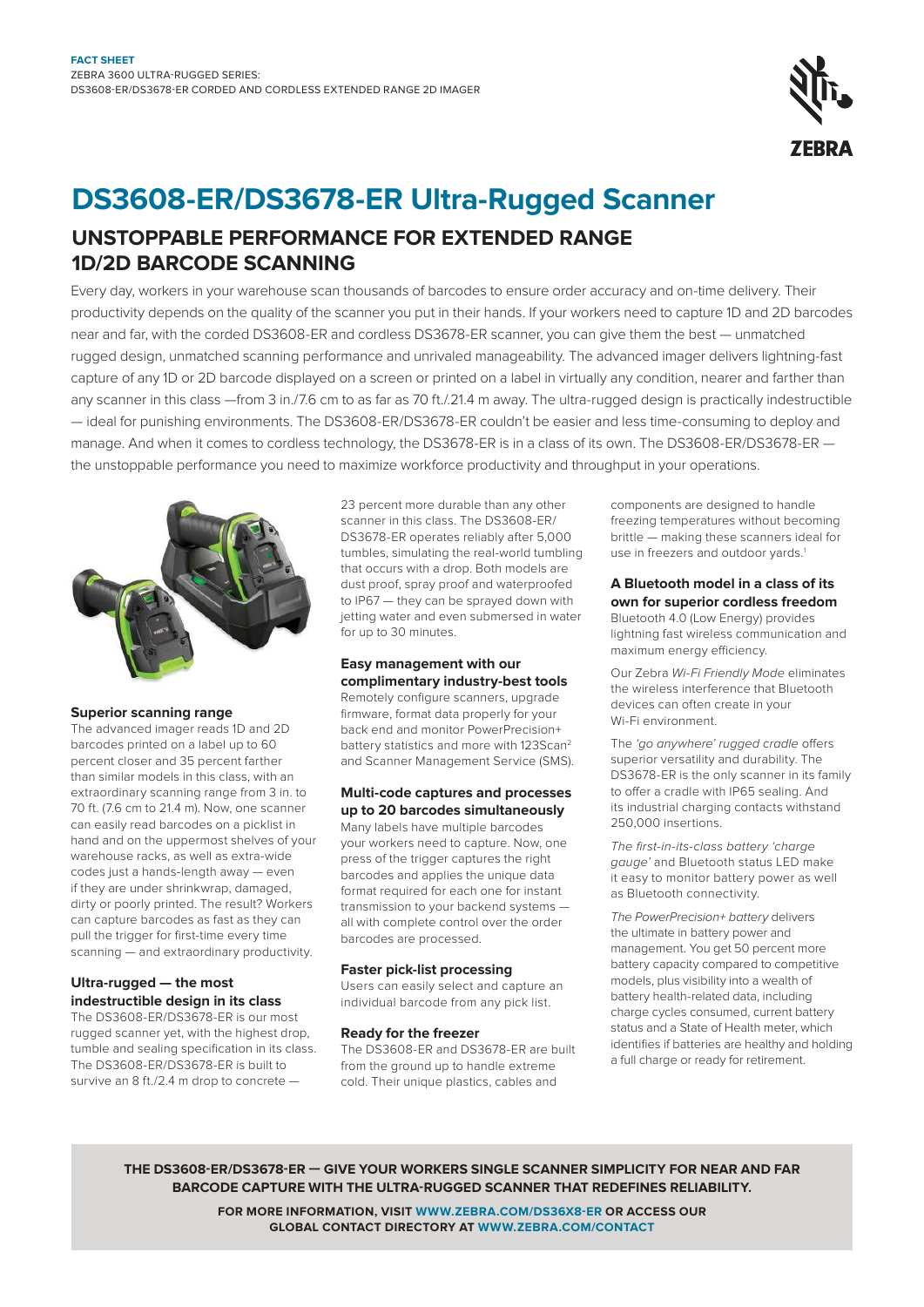

# **DS3608-ER/DS3678-ER Ultra-Rugged Scanner**

### **UNSTOPPABLE PERFORMANCE FOR EXTENDED RANGE 1D/2D BARCODE SCANNING**

Every day, workers in your warehouse scan thousands of barcodes to ensure order accuracy and on-time delivery. Their productivity depends on the quality of the scanner you put in their hands. If your workers need to capture 1D and 2D barcodes near and far, with the corded DS3608-ER and cordless DS3678-ER scanner, you can give them the best — unmatched rugged design, unmatched scanning performance and unrivaled manageability. The advanced imager delivers lightning-fast capture of any 1D or 2D barcode displayed on a screen or printed on a label in virtually any condition, nearer and farther than any scanner in this class —from 3 in./7.6 cm to as far as 70 ft./.21.4 m away. The ultra-rugged design is practically indestructible — ideal for punishing environments. The DS3608-ER/DS3678-ER couldn't be easier and less time-consuming to deploy and manage. And when it comes to cordless technology, the DS3678-ER is in a class of its own. The DS3608-ER/DS3678-ER the unstoppable performance you need to maximize workforce productivity and throughput in your operations.



#### **Superior scanning range**

The advanced imager reads 1D and 2D barcodes printed on a label up to 60 percent closer and 35 percent farther than similar models in this class, with an extraordinary scanning range from 3 in. to 70 ft. (7.6 cm to 21.4 m). Now, one scanner can easily read barcodes on a picklist in hand and on the uppermost shelves of your warehouse racks, as well as extra-wide codes just a hands-length away — even if they are under shrinkwrap, damaged, dirty or poorly printed. The result? Workers can capture barcodes as fast as they can pull the trigger for first-time every time scanning — and extraordinary productivity.

#### **Ultra-rugged — the most indestructible design in its class**

The DS3608-ER/DS3678-ER is our most rugged scanner yet, with the highest drop, tumble and sealing specification in its class. The DS3608-ER/DS3678-ER is built to survive an 8 ft./2.4 m drop to concrete —

23 percent more durable than any other scanner in this class. The DS3608-ER/ DS3678-ER operates reliably after 5,000 tumbles, simulating the real-world tumbling that occurs with a drop. Both models are dust proof, spray proof and waterproofed to IP67 — they can be sprayed down with jetting water and even submersed in water for up to 30 minutes.

#### **Easy management with our complimentary industry-best tools** Remotely configure scanners, upgrade

firmware, format data properly for your back end and monitor PowerPrecision+ battery statistics and more with 123Scan<sup>2</sup> and Scanner Management Service (SMS).

#### **Multi-code captures and processes up to 20 barcodes simultaneously**

Many labels have multiple barcodes your workers need to capture. Now, one press of the trigger captures the right barcodes and applies the unique data format required for each one for instant transmission to your backend systems all with complete control over the order barcodes are processed.

#### **Faster pick-list processing**

Users can easily select and capture an individual barcode from any pick list.

#### **Ready for the freezer**

The DS3608-ER and DS3678-ER are built from the ground up to handle extreme cold. Their unique plastics, cables and

components are designed to handle freezing temperatures without becoming brittle — making these scanners ideal for use in freezers and outdoor yards.<sup>1</sup>

#### **A Bluetooth model in a class of its own for superior cordless freedom**

Bluetooth 4.0 (Low Energy) provides lightning fast wireless communication and maximum energy efficiency.

Our Zebra Wi-Fi Friendly Mode eliminates the wireless interference that Bluetooth devices can often create in your Wi-Fi environment.

The 'go anywhere' rugged cradle offers superior versatility and durability. The DS3678-ER is the only scanner in its family to offer a cradle with IP65 sealing. And its industrial charging contacts withstand 250,000 insertions.

The first-in-its-class battery 'charge gauge' and Bluetooth status LED make it easy to monitor battery power as well as Bluetooth connectivity.

The PowerPrecision+ battery delivers the ultimate in battery power and management. You get 50 percent more battery capacity compared to competitive models, plus visibility into a wealth of battery health-related data, including charge cycles consumed, current battery status and a State of Health meter, which identifies if batteries are healthy and holding a full charge or ready for retirement.

**THE DS3608-ER/DS3678-ER — GIVE YOUR WORKERS SINGLE SCANNER SIMPLICITY FOR NEAR AND FAR BARCODE CAPTURE WITH THE ULTRA-RUGGED SCANNER THAT REDEFINES RELIABILITY.**

> **FOR MORE INFORMATION, VISIT [WWW.ZEBRA.COM/DS36X8-ER](http://www.zebra.com/ds36x8-er) OR ACCESS OUR GLOBAL CONTACT DIRECTORY AT [WWW.ZEBRA.COM/CONTACT](http://www.zebra.com/contact)**